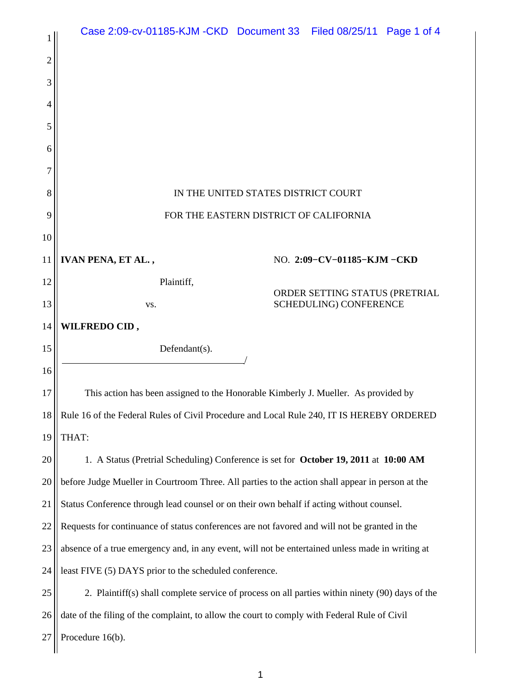|    | Case 2:09-cv-01185-KJM-CKD Document 33 Filed 08/25/11 Page 1 of 4                                |  |                                                                 |  |  |
|----|--------------------------------------------------------------------------------------------------|--|-----------------------------------------------------------------|--|--|
| 2  |                                                                                                  |  |                                                                 |  |  |
| 3  |                                                                                                  |  |                                                                 |  |  |
| 4  |                                                                                                  |  |                                                                 |  |  |
| 5  |                                                                                                  |  |                                                                 |  |  |
| 6  |                                                                                                  |  |                                                                 |  |  |
| 7  |                                                                                                  |  |                                                                 |  |  |
| 8  | IN THE UNITED STATES DISTRICT COURT                                                              |  |                                                                 |  |  |
| 9  | FOR THE EASTERN DISTRICT OF CALIFORNIA                                                           |  |                                                                 |  |  |
| 10 |                                                                                                  |  |                                                                 |  |  |
| 11 | IVAN PENA, ET AL.,                                                                               |  | NO. 2:09-CV-01185-KJM-CKD                                       |  |  |
| 12 | Plaintiff,                                                                                       |  | ORDER SETTING STATUS (PRETRIAL<br><b>SCHEDULING) CONFERENCE</b> |  |  |
| 13 | VS.                                                                                              |  |                                                                 |  |  |
| 14 | WILFREDO CID,                                                                                    |  |                                                                 |  |  |
| 15 | Defendant $(s)$ .                                                                                |  |                                                                 |  |  |
| 16 |                                                                                                  |  |                                                                 |  |  |
| 17 | This action has been assigned to the Honorable Kimberly J. Mueller. As provided by               |  |                                                                 |  |  |
| 18 | Rule 16 of the Federal Rules of Civil Procedure and Local Rule 240, IT IS HEREBY ORDERED         |  |                                                                 |  |  |
| 19 | THAT:                                                                                            |  |                                                                 |  |  |
| 20 | 1. A Status (Pretrial Scheduling) Conference is set for <b>October 19, 2011</b> at 10:00 AM      |  |                                                                 |  |  |
| 20 | before Judge Mueller in Courtroom Three. All parties to the action shall appear in person at the |  |                                                                 |  |  |
| 21 | Status Conference through lead counsel or on their own behalf if acting without counsel.         |  |                                                                 |  |  |
| 22 | Requests for continuance of status conferences are not favored and will not be granted in the    |  |                                                                 |  |  |
| 23 | absence of a true emergency and, in any event, will not be entertained unless made in writing at |  |                                                                 |  |  |
| 24 | least FIVE (5) DAYS prior to the scheduled conference.                                           |  |                                                                 |  |  |
| 25 | 2. Plaintiff(s) shall complete service of process on all parties within ninety (90) days of the  |  |                                                                 |  |  |
| 26 | date of the filing of the complaint, to allow the court to comply with Federal Rule of Civil     |  |                                                                 |  |  |
| 27 | Procedure 16(b).                                                                                 |  |                                                                 |  |  |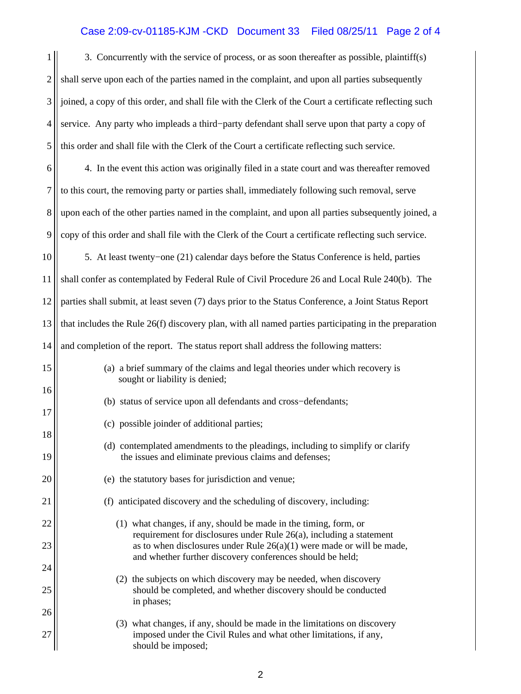## Case 2:09-cv-01185-KJM -CKD Document 33 Filed 08/25/11 Page 2 of 4

| 1              | 3. Concurrently with the service of process, or as soon thereafter as possible, plaintiff(s)                                                      |  |  |  |
|----------------|---------------------------------------------------------------------------------------------------------------------------------------------------|--|--|--|
| $\overline{2}$ | shall serve upon each of the parties named in the complaint, and upon all parties subsequently                                                    |  |  |  |
| 3              | joined, a copy of this order, and shall file with the Clerk of the Court a certificate reflecting such                                            |  |  |  |
| $\overline{4}$ | service. Any party who impleads a third-party defendant shall serve upon that party a copy of                                                     |  |  |  |
| 5              | this order and shall file with the Clerk of the Court a certificate reflecting such service.                                                      |  |  |  |
| 6              | 4. In the event this action was originally filed in a state court and was thereafter removed                                                      |  |  |  |
| $\overline{7}$ | to this court, the removing party or parties shall, immediately following such removal, serve                                                     |  |  |  |
| 8              | upon each of the other parties named in the complaint, and upon all parties subsequently joined, a                                                |  |  |  |
| 9              | copy of this order and shall file with the Clerk of the Court a certificate reflecting such service.                                              |  |  |  |
| 10             | 5. At least twenty-one (21) calendar days before the Status Conference is held, parties                                                           |  |  |  |
| 11             | shall confer as contemplated by Federal Rule of Civil Procedure 26 and Local Rule 240(b). The                                                     |  |  |  |
| 12             | parties shall submit, at least seven (7) days prior to the Status Conference, a Joint Status Report                                               |  |  |  |
| 13             | that includes the Rule $26(f)$ discovery plan, with all named parties participating in the preparation                                            |  |  |  |
| 14             | and completion of the report. The status report shall address the following matters:                                                              |  |  |  |
| 15             | (a) a brief summary of the claims and legal theories under which recovery is<br>sought or liability is denied;                                    |  |  |  |
| 16             | (b) status of service upon all defendants and cross-defendants;                                                                                   |  |  |  |
| 17             | (c) possible joinder of additional parties;                                                                                                       |  |  |  |
| 18<br>19       | (d) contemplated amendments to the pleadings, including to simplify or clarify<br>the issues and eliminate previous claims and defenses;          |  |  |  |
| 20             | (e) the statutory bases for jurisdiction and venue;                                                                                               |  |  |  |
| 21             | (f) anticipated discovery and the scheduling of discovery, including:                                                                             |  |  |  |
| 22             | (1) what changes, if any, should be made in the timing, form, or                                                                                  |  |  |  |
| 23             | requirement for disclosures under Rule $26(a)$ , including a statement<br>as to when disclosures under Rule $26(a)(1)$ were made or will be made, |  |  |  |
| 24             | and whether further discovery conferences should be held;                                                                                         |  |  |  |
| 25             | (2) the subjects on which discovery may be needed, when discovery<br>should be completed, and whether discovery should be conducted<br>in phases; |  |  |  |
| 26             | (3) what changes, if any, should be made in the limitations on discovery                                                                          |  |  |  |
| 27             | imposed under the Civil Rules and what other limitations, if any,<br>should be imposed;                                                           |  |  |  |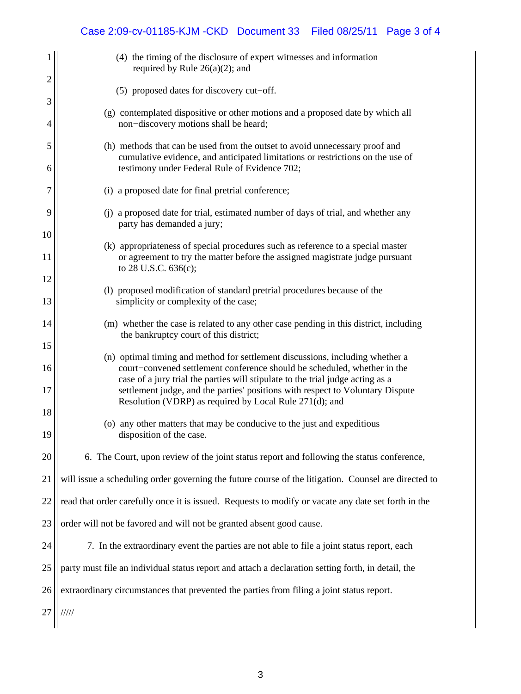## Case 2:09-cv-01185-KJM -CKD Document 33 Filed 08/25/11 Page 3 of 4

|                | (4) the timing of the disclosure of expert witnesses and information<br>required by Rule $26(a)(2)$ ; and                                                                                                                                   |  |  |
|----------------|---------------------------------------------------------------------------------------------------------------------------------------------------------------------------------------------------------------------------------------------|--|--|
| $\overline{2}$ | (5) proposed dates for discovery cut-off.                                                                                                                                                                                                   |  |  |
| 3              |                                                                                                                                                                                                                                             |  |  |
| 4              | (g) contemplated dispositive or other motions and a proposed date by which all<br>non-discovery motions shall be heard;                                                                                                                     |  |  |
| 5              | (h) methods that can be used from the outset to avoid unnecessary proof and<br>cumulative evidence, and anticipated limitations or restrictions on the use of                                                                               |  |  |
| 6              | testimony under Federal Rule of Evidence 702;                                                                                                                                                                                               |  |  |
| $\tau$         | (i) a proposed date for final pretrial conference;                                                                                                                                                                                          |  |  |
| 9              | (j) a proposed date for trial, estimated number of days of trial, and whether any<br>party has demanded a jury;                                                                                                                             |  |  |
| 10             |                                                                                                                                                                                                                                             |  |  |
| 11             | (k) appropriateness of special procedures such as reference to a special master<br>or agreement to try the matter before the assigned magistrate judge pursuant<br>to 28 U.S.C. 636(c);                                                     |  |  |
| 12             |                                                                                                                                                                                                                                             |  |  |
| 13             | (1) proposed modification of standard pretrial procedures because of the<br>simplicity or complexity of the case;                                                                                                                           |  |  |
| 14             | (m) whether the case is related to any other case pending in this district, including<br>the bankruptcy court of this district;                                                                                                             |  |  |
| 15             |                                                                                                                                                                                                                                             |  |  |
| 16             | (n) optimal timing and method for settlement discussions, including whether a<br>court-convened settlement conference should be scheduled, whether in the<br>case of a jury trial the parties will stipulate to the trial judge acting as a |  |  |
| 17<br>18       | settlement judge, and the parties' positions with respect to Voluntary Dispute<br>Resolution (VDRP) as required by Local Rule 271(d); and                                                                                                   |  |  |
|                | (o) any other matters that may be conducive to the just and expeditious                                                                                                                                                                     |  |  |
| 19             | disposition of the case.                                                                                                                                                                                                                    |  |  |
| 20             | 6. The Court, upon review of the joint status report and following the status conference,                                                                                                                                                   |  |  |
| 21             | will issue a scheduling order governing the future course of the litigation. Counsel are directed to                                                                                                                                        |  |  |
| 22             | read that order carefully once it is issued. Requests to modify or vacate any date set forth in the                                                                                                                                         |  |  |
| 23             | order will not be favored and will not be granted absent good cause.                                                                                                                                                                        |  |  |
| 24             | 7. In the extraordinary event the parties are not able to file a joint status report, each                                                                                                                                                  |  |  |
| 25             | party must file an individual status report and attach a declaration setting forth, in detail, the                                                                                                                                          |  |  |
| 26             | extraordinary circumstances that prevented the parties from filing a joint status report.                                                                                                                                                   |  |  |
| 27             | 11111                                                                                                                                                                                                                                       |  |  |
|                |                                                                                                                                                                                                                                             |  |  |